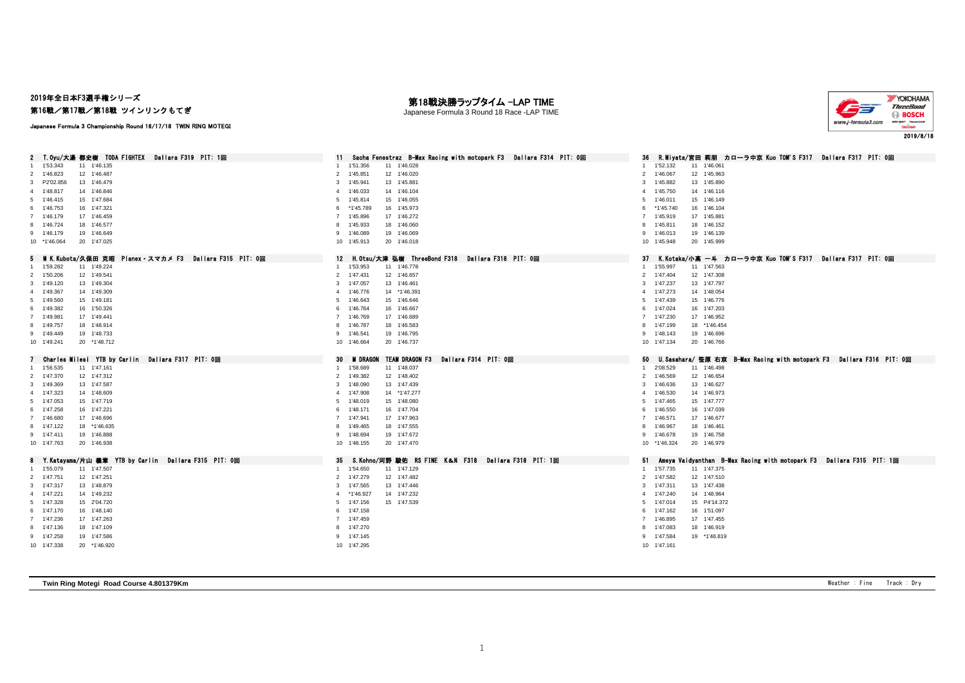## 2019年全日本F3選手権シリーズ 第16戦/第17戦/第18戦 ツインリンクもてぎ

#### 第18戦決勝ラップタイム -LAP TIME Japanese Formula 3 Round 18 Race -LAP TIME



Japanese Formula 3 Championship Round 16/17/18 TWIN RING MOTEGI

| 2 T.Oyu/大湯 都史樹 TODA FIGHTEX<br>Dallara F319 PIT: 1回    | Sacha Fenestraz B-Max Racing with motopark F3 Dallara F314 PIT: 0回<br>11   | - R.Miyata/宮田 莉朋 カローラ中京 Kuo TOM'S F317 - Dallara F317 - PIT: 0回<br>36            |
|--------------------------------------------------------|----------------------------------------------------------------------------|----------------------------------------------------------------------------------|
| 1'53.343<br>11 1'46.135                                | 1'51.356<br>11 1'46.028<br>-1                                              | 1'52.132<br>11 1'46.061                                                          |
| 2 1'46.823<br>12 1'46.487                              | 12 1'46.020<br>$\overline{2}$<br>1'45.851                                  | 1'46.067<br>$\overline{2}$<br>12 1'45.963                                        |
| 3 P2'02.856<br>13 1'46.479                             | 3<br>1'45.941<br>13 1'45.881                                               | 3<br>1'45.882<br>13 1'45.890                                                     |
| 14 1'46.846<br>4 1'48.817                              | 14 1'46.104<br>4<br>1'46.033                                               | 14 1'46.116<br>1'45.750<br>$\overline{a}$                                        |
| 15 1'47.684<br>5 1'46.415                              | 15 1'46.055<br>5<br>1'45.814                                               | 15 1'46.149<br>5<br>1'46.011                                                     |
| 16 1'47.321<br>6 1'46.753                              | *1'45.789<br>16 1'45.973<br>6                                              | *1'45.740<br>16 1'46.104<br>6                                                    |
| 7 1'46.179<br>17 1'46.459                              | 17 1'46.272<br>7 1'45.896                                                  | $\overline{7}$<br>1'45.919<br>17 1'45.881                                        |
| 18 1'46.577<br>8 1'46,724                              | 1'45.933<br>18 1'46,060<br>8                                               | 18 1'46.152<br>8<br>1'45.811                                                     |
| 9 1'46.179<br>19 1'46.649                              | 9 1'46,089<br>19 1'46.069                                                  | 9<br>1'46.013<br>19 1'46.139                                                     |
| 10 *1'46.064<br>20 1'47.025                            | 10 1'45.913<br>20 1'46.018                                                 | 1'45.948<br>20 1'45.999<br>10                                                    |
| 5 MKKubota/久保田 克昭 Planex・スマカメ F3 Dallara F315 PIT: 0回  | H.Otsu/大津 弘樹 ThreeBond F318 Dallara F318 PIT: 0回                           | K.Kotaka/小高 一斗 カローラ中京 Kuo TOM'S F317 Dallara F317 PIT: 0回<br>37                  |
| 11 1'49.224<br>1 1'59.282                              | 12<br>11 1'46.778<br>1 1'53.953                                            | 1'55.997<br>11 1'47.563<br>$\mathbf{1}$                                          |
| 2 1'50.206<br>12 1'49.541                              | 2 1'47.431<br>12 1'46.657                                                  | $\overline{2}$<br>1'47.404<br>12 1'47.308                                        |
| 13 1'49.304<br>3 1'49.120                              | 3<br>1'47.057<br>13 1'46.461                                               | 1'47.237<br>13 1'47.797<br>3                                                     |
| 14 1'49.309<br>4 1'49.367                              | 14 *1'46.391<br>1'46.776<br>4                                              | 1'47.273<br>14 1'48.054<br>$\overline{4}$                                        |
| 15 1'49.181<br>5 1'49.560                              | 1'46.643<br>15 1'46.646<br>5                                               | 1'47.439<br>15 1'46.776<br>5                                                     |
| 16 1'50.326<br>6 1'49.382                              | 16 1'46.667<br>6<br>1'46.764                                               | 16 1'47.203<br>6<br>1'47.024                                                     |
| 7 1'49.981<br>17 1'49.441                              | 7 1'46.769<br>17 1'46.689                                                  | $\overline{7}$<br>1'47.230<br>17 1'46.952                                        |
| 18 1'48.914<br>8 1'49.757                              | 18 1'46.583<br>8<br>1'46.787                                               | 18 *1'46.454<br>8<br>1'47.199                                                    |
| 19 1'48.733<br>9 1'49.449                              | 19 1'46.795<br>9<br>1'46.541                                               | 9<br>1'48.143<br>19 1'46.696                                                     |
| 20 *1'48.712<br>10 1'49.241                            | 20 1'46.737<br>10 1'46.664                                                 | 10 1'47.134<br>20 1'46.766                                                       |
|                                                        |                                                                            |                                                                                  |
| Charles Milesi YTB by Carlin Dallara F317 PIT: 0回      | <b>M DRAGON</b><br><b>TEAM DRAGON F3</b><br>Dallara F314 PIT: 0回<br>30     | U. Sasahara/ 笹原 右京 B-Max Racing with motopark F3 Dallara F316 PIT: 0回<br>50      |
|                                                        |                                                                            |                                                                                  |
| 11 1'47.161<br>1'56.535<br>1                           | 1'58.689<br>11 1'48.037<br>$\mathbf{1}$                                    | 2'08.529<br>11 1'46.498<br>$\mathbf{1}$                                          |
| 2 1'47.370<br>12 1'47.312                              | 2 1'49.382<br>12 1'48.402                                                  | $\overline{2}$<br>1'46.569<br>12 1'46.654                                        |
| 13 1'47.587<br>3 1'49.369                              | 3<br>1'48.090<br>13 1'47.439                                               | 3<br>1'46.636<br>13 1'46.627                                                     |
| 4 1'47.323<br>14 1'48.609                              | 14 *1'47.277<br>1'47.908<br>4                                              | 1'46.530<br>14 1'46.973<br>$\overline{a}$                                        |
| 5 1'47.053<br>15 1'47.719                              | 15 1'48,080<br>1'48.019<br>5                                               | 1'47.465<br>15 1'47.777<br>5                                                     |
| 6 1'47.258<br>16 1'47.221                              | 16 1'47.704<br>6<br>1'48.171                                               | 1'46.550<br>16 1'47.039<br>6                                                     |
| 7 1'46.680<br>17 1'46.696                              | 7 1'47.941<br>17 1'47.963                                                  | 1'46.571<br>17 1'46.677<br>$\overline{7}$                                        |
| 18 *1'46.635<br>8 1'47.122                             | 18 1'47.555<br>8<br>1'49.465                                               | 18 1'46.461<br>1'46.967<br>8                                                     |
| 9 1'47.411<br>19 1'46.888                              | 19 1'47.672<br>9 1'48,694                                                  | 1'46.678<br>9<br>19 1'46.758                                                     |
| 10 1'47.763<br>20 1'46.938                             | 20 1'47.470<br>10 1'48.155                                                 | *1'46.324<br>20 1'46.979<br>10                                                   |
|                                                        |                                                                            |                                                                                  |
| Y.Katayama/片山 義章 YTB by Carlin _ Dallara F315 PIT: 0回  | S.Kohno/河野 駿佑 RS FINE K&N F318 Dallara F318 PIT: 1回<br>35<br>1'54.650<br>1 | Ameya Vaidyanthan B-Max Racing with motopark F3 Dallara F315 PIT: 1回<br>51<br>-1 |
| 11 1'47.507<br>1 1'55.079                              | 11 1'47.129                                                                | 11 1'47.375<br>1'57.735<br>$\overline{2}$                                        |
| 2 1'47.751<br>12 1'47.251<br>13 1'48.879<br>3 1'47.317 | 2 1'47.279<br>12 1'47.482<br>13 1'47.446<br>3<br>1'47.565                  | 1'47.582<br>12 1'47.510<br>3<br>1'47.311<br>13 1'47.438                          |
|                                                        | $\Delta$                                                                   | 4                                                                                |
| 4 1'47.221<br>14 1'49.232<br>15 2'04.720<br>5 1'47.328 | 14 1'47.232<br>*1'46.927<br>15 1'47.539<br>1'47.156<br>5                   | 1'47.240<br>14 1'48.964<br>15 P4'14.372<br>1'47.014<br>5                         |
| 16 1'48.140<br>6 1'47.170                              | 6 1'47.158                                                                 | 1'47.162<br>16 1'51.097<br>6                                                     |
| 17 1'47.263<br>7 1'47.236                              | 7 1'47.459                                                                 | 17 1'47.455<br>$\overline{7}$<br>1'46.895                                        |
| 18 1'47.109<br>8 1'47.136                              | 8 1'47.270                                                                 | 1'47.083<br>18 1'46.919<br>8                                                     |
| 9 1'47.258<br>19 1'47.586                              | 9 1'47.145                                                                 | 1'47.584<br>19 *1'46.819<br>9                                                    |

**Twin Ring Motegi Road Course 4.801379Km** Weather : Fine Track : Dry